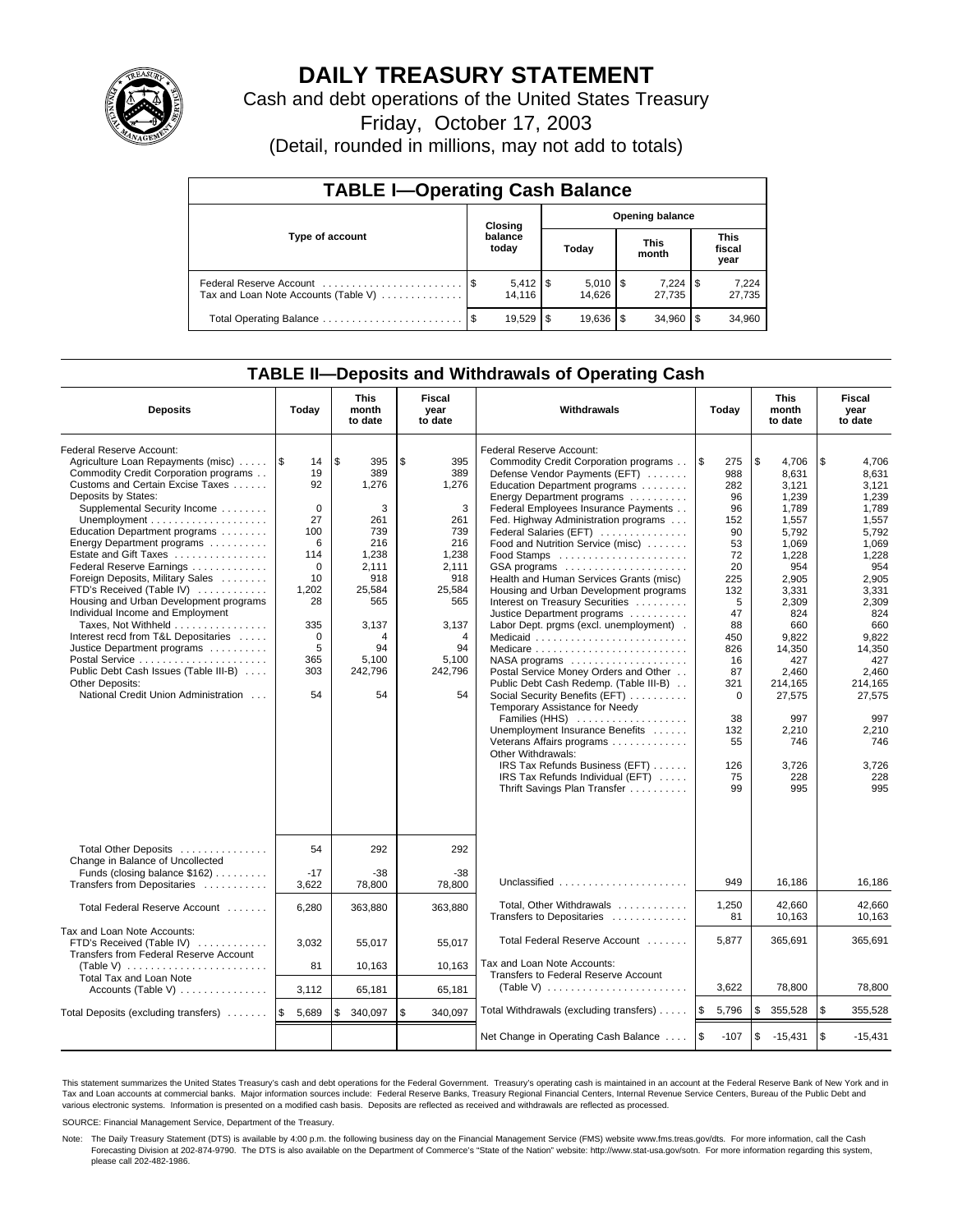

# **DAILY TREASURY STATEMENT**

Cash and debt operations of the United States Treasury

Friday, October 17, 2003

(Detail, rounded in millions, may not add to totals)

| <b>TABLE I-Operating Cash Balance</b>                           |         |                        |     |                              |  |                      |      |                        |  |  |
|-----------------------------------------------------------------|---------|------------------------|-----|------------------------------|--|----------------------|------|------------------------|--|--|
|                                                                 | Closing |                        |     | <b>Opening balance</b>       |  |                      |      |                        |  |  |
| Type of account                                                 |         | balance<br>today       |     | Today                        |  | <b>This</b><br>month |      | This<br>fiscal<br>year |  |  |
| Federal Reserve Account<br>Tax and Loan Note Accounts (Table V) |         | $5,412$   \$<br>14.116 |     | $5,010$ $\sqrt{5}$<br>14.626 |  | $7.224$ S<br>27.735  |      | 7,224<br>27,735        |  |  |
|                                                                 |         | 19.529                 | \$. | $19.636$ $\frac{1}{3}$       |  | 34.960               | l \$ | 34,960                 |  |  |

## **TABLE II—Deposits and Withdrawals of Operating Cash**

| <b>Deposits</b>                                                                                                                                                                                                                                                                                                                                                                                                                                                                                                                                                                                                                                                                                 | Today                                                                                                                                            | <b>This</b><br>month<br>to date                                                                                                             | <b>Fiscal</b><br>year<br>to date                                                                                                            | <b>Withdrawals</b>                                                                                                                                                                                                                                                                                                                                                                                                                                                                                                                                                                                                                                                                                                                                                                                                                                                                                                                   | Today                                                                                                                                                                                 | <b>This</b><br>month<br>to date                                                                                                                                                                                                           | Fiscal<br>year<br>to date                                                                                                                                                                                                                 |
|-------------------------------------------------------------------------------------------------------------------------------------------------------------------------------------------------------------------------------------------------------------------------------------------------------------------------------------------------------------------------------------------------------------------------------------------------------------------------------------------------------------------------------------------------------------------------------------------------------------------------------------------------------------------------------------------------|--------------------------------------------------------------------------------------------------------------------------------------------------|---------------------------------------------------------------------------------------------------------------------------------------------|---------------------------------------------------------------------------------------------------------------------------------------------|--------------------------------------------------------------------------------------------------------------------------------------------------------------------------------------------------------------------------------------------------------------------------------------------------------------------------------------------------------------------------------------------------------------------------------------------------------------------------------------------------------------------------------------------------------------------------------------------------------------------------------------------------------------------------------------------------------------------------------------------------------------------------------------------------------------------------------------------------------------------------------------------------------------------------------------|---------------------------------------------------------------------------------------------------------------------------------------------------------------------------------------|-------------------------------------------------------------------------------------------------------------------------------------------------------------------------------------------------------------------------------------------|-------------------------------------------------------------------------------------------------------------------------------------------------------------------------------------------------------------------------------------------|
| Federal Reserve Account:<br>Agriculture Loan Repayments (misc)<br>Commodity Credit Corporation programs<br>Customs and Certain Excise Taxes<br>Deposits by States:<br>Supplemental Security Income<br>Education Department programs<br>Energy Department programs<br>Estate and Gift Taxes<br>Federal Reserve Earnings<br>Foreign Deposits, Military Sales<br>FTD's Received (Table IV)<br>Housing and Urban Development programs<br>Individual Income and Employment<br>Taxes, Not Withheld<br>Interest recd from T&L Depositaries<br>Justice Department programs<br>Postal Service<br>Public Debt Cash Issues (Table III-B)<br><b>Other Deposits:</b><br>National Credit Union Administration | 1\$<br>14<br>19<br>92<br>$\mathbf 0$<br>27<br>100<br>6<br>114<br>$\mathbf 0$<br>10<br>1,202<br>28<br>335<br>$\mathbf 0$<br>5<br>365<br>303<br>54 | \$<br>395<br>389<br>1,276<br>3<br>261<br>739<br>216<br>1,238<br>2,111<br>918<br>25,584<br>565<br>3,137<br>4<br>94<br>5,100<br>242,796<br>54 | \$<br>395<br>389<br>1,276<br>3<br>261<br>739<br>216<br>1,238<br>2,111<br>918<br>25.584<br>565<br>3,137<br>4<br>94<br>5,100<br>242,796<br>54 | Federal Reserve Account:<br>Commodity Credit Corporation programs<br>Defense Vendor Payments (EFT)<br>Education Department programs<br>Energy Department programs<br>Federal Employees Insurance Payments<br>Fed. Highway Administration programs<br>Federal Salaries (EFT)<br>Food and Nutrition Service (misc)<br>GSA programs<br>Health and Human Services Grants (misc)<br>Housing and Urban Development programs<br>Interest on Treasury Securities<br>Justice Department programs<br>Labor Dept. prgms (excl. unemployment).<br>Medicaid<br>NASA programs<br>Postal Service Money Orders and Other<br>Public Debt Cash Redemp. (Table III-B)<br>Social Security Benefits (EFT)<br>Temporary Assistance for Needy<br>Families (HHS)<br>Unemployment Insurance Benefits<br>Veterans Affairs programs<br>Other Withdrawals:<br>IRS Tax Refunds Business (EFT)<br>IRS Tax Refunds Individual (EFT)<br>Thrift Savings Plan Transfer | ۱\$<br>275<br>988<br>282<br>96<br>96<br>152<br>90<br>53<br>72<br>20<br>225<br>132<br>5<br>47<br>88<br>450<br>826<br>16<br>87<br>321<br>$\Omega$<br>38<br>132<br>55<br>126<br>75<br>99 | \$<br>4,706<br>8,631<br>3.121<br>1,239<br>1.789<br>1,557<br>5,792<br>1,069<br>1,228<br>954<br>2.905<br>3.331<br>2,309<br>824<br>660<br>9,822<br>14,350<br>427<br>2.460<br>214.165<br>27,575<br>997<br>2,210<br>746<br>3.726<br>228<br>995 | \$<br>4,706<br>8,631<br>3,121<br>1,239<br>1.789<br>1,557<br>5,792<br>1,069<br>1,228<br>954<br>2,905<br>3.331<br>2,309<br>824<br>660<br>9.822<br>14,350<br>427<br>2.460<br>214.165<br>27,575<br>997<br>2,210<br>746<br>3.726<br>228<br>995 |
| Total Other Deposits<br>Change in Balance of Uncollected<br>Funds (closing balance \$162)                                                                                                                                                                                                                                                                                                                                                                                                                                                                                                                                                                                                       | 54<br>$-17$                                                                                                                                      | 292<br>$-38$                                                                                                                                | 292<br>-38                                                                                                                                  | Unclassified                                                                                                                                                                                                                                                                                                                                                                                                                                                                                                                                                                                                                                                                                                                                                                                                                                                                                                                         | 949                                                                                                                                                                                   | 16.186                                                                                                                                                                                                                                    | 16,186                                                                                                                                                                                                                                    |
| Transfers from Depositaries<br>Total Federal Reserve Account                                                                                                                                                                                                                                                                                                                                                                                                                                                                                                                                                                                                                                    | 3,622<br>6,280                                                                                                                                   | 78,800<br>363,880                                                                                                                           | 78,800<br>363,880                                                                                                                           | Total, Other Withdrawals                                                                                                                                                                                                                                                                                                                                                                                                                                                                                                                                                                                                                                                                                                                                                                                                                                                                                                             | 1,250                                                                                                                                                                                 | 42,660                                                                                                                                                                                                                                    | 42,660                                                                                                                                                                                                                                    |
| Tax and Loan Note Accounts:<br>FTD's Received (Table IV)<br>Transfers from Federal Reserve Account<br>(Table V) $\ldots \ldots \ldots \ldots \ldots \ldots \ldots \ldots$                                                                                                                                                                                                                                                                                                                                                                                                                                                                                                                       | 3,032<br>81                                                                                                                                      | 55,017<br>10,163                                                                                                                            | 55,017<br>10,163                                                                                                                            | Transfers to Depositaries<br>Total Federal Reserve Account<br>Tax and Loan Note Accounts:                                                                                                                                                                                                                                                                                                                                                                                                                                                                                                                                                                                                                                                                                                                                                                                                                                            | 81<br>5,877                                                                                                                                                                           | 10,163<br>365,691                                                                                                                                                                                                                         | 10,163<br>365,691                                                                                                                                                                                                                         |
| Total Tax and Loan Note<br>Accounts (Table V) $\dots \dots \dots \dots$                                                                                                                                                                                                                                                                                                                                                                                                                                                                                                                                                                                                                         | 3,112                                                                                                                                            | 65,181                                                                                                                                      | 65,181                                                                                                                                      | Transfers to Federal Reserve Account                                                                                                                                                                                                                                                                                                                                                                                                                                                                                                                                                                                                                                                                                                                                                                                                                                                                                                 | 3,622                                                                                                                                                                                 | 78,800                                                                                                                                                                                                                                    | 78,800                                                                                                                                                                                                                                    |
| Total Deposits (excluding transfers)                                                                                                                                                                                                                                                                                                                                                                                                                                                                                                                                                                                                                                                            | 5,689<br>1\$                                                                                                                                     | \$<br>340,097                                                                                                                               | \$<br>340,097                                                                                                                               | Total Withdrawals (excluding transfers)                                                                                                                                                                                                                                                                                                                                                                                                                                                                                                                                                                                                                                                                                                                                                                                                                                                                                              | l\$<br>5,796                                                                                                                                                                          | \$<br>355,528                                                                                                                                                                                                                             | l \$<br>355,528                                                                                                                                                                                                                           |
|                                                                                                                                                                                                                                                                                                                                                                                                                                                                                                                                                                                                                                                                                                 |                                                                                                                                                  |                                                                                                                                             |                                                                                                                                             | Net Change in Operating Cash Balance                                                                                                                                                                                                                                                                                                                                                                                                                                                                                                                                                                                                                                                                                                                                                                                                                                                                                                 | l \$<br>$-107$                                                                                                                                                                        | \$<br>$-15,431$                                                                                                                                                                                                                           | $\mathfrak{s}$<br>$-15.431$                                                                                                                                                                                                               |

This statement summarizes the United States Treasury's cash and debt operations for the Federal Government. Treasury's operating cash is maintained in an account at the Federal Reserve Bank of New York and in Tax and Loan accounts at commercial banks. Major information sources include: Federal Reserve Banks, Treasury Regional Financial Centers, Internal Revenue Service Centers, Bureau of the Public Debt and<br>various electronic s

SOURCE: Financial Management Service, Department of the Treasury.

Note: The Daily Treasury Statement (DTS) is available by 4:00 p.m. the following business day on the Financial Management Service (FMS) website www.fms.treas.gov/dts. For more information, call the Cash Forecasting Division at 202-874-9790. The DTS is also available on the Department of Commerce's "State of the Nation" website: http://www.stat-usa.gov/sotn. For more information regarding this system, please call 202-482-1986.